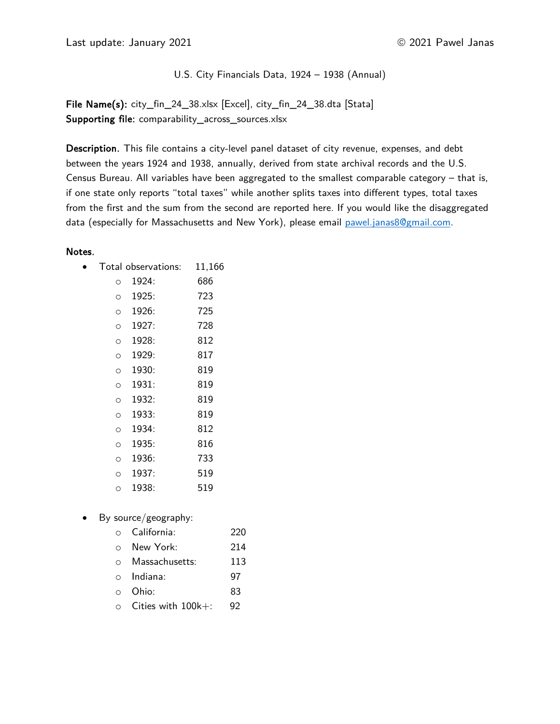Last update: January 2021 **2021 2021 2021 2021** Pawel Janas

U.S. City Financials Data, 1924 – 1938 (Annual)

File Name(s): city\_fin\_24\_38.xlsx [Excel], city\_fin\_24\_38.dta [Stata] Supporting file: comparability\_across\_sources.xlsx

Description. This file contains a city-level panel dataset of city revenue, expenses, and debt between the years 1924 and 1938, annually, derived from state archival records and the U.S. Census Bureau. All variables have been aggregated to the smallest comparable category  $-$  that is, if one state only reports "total taxes" while another splits taxes into different types, total taxes from the first and the sum from the second are reported here. If you would like the disaggregated data (especially for Massachusetts and New York), please email pawel.janas8@gmail.com.

#### Notes.

|         | Total observations: | 11,166 |
|---------|---------------------|--------|
| O       | 1924:               | 686    |
| $\circ$ | 1925:               | 723    |
| $\circ$ | 1926:               | 725    |
| $\circ$ | 1927:               | 728    |
| $\circ$ | 1928:               | 812    |
| $\circ$ | 1929:               | 817    |
| $\circ$ | 1930:               | 819    |
| $\circ$ | 1931:               | 819    |
| $\circ$ | 1932:               | 819    |
| $\circ$ | 1933:               | 819    |
| $\circ$ | 1934:               | 812    |
| $\circ$ | 1935:               | 816    |
| $\circ$ | 1936:               | 733    |
| O       | 1937:               | 519    |
| O       | 1938:               | 519    |
|         |                     |        |

• By source/geography:

| New York:<br>$\circ$<br>Massachusetts:<br>$\circ$<br>$\circ$ Indiana:<br>Ohio:<br>$\Omega$<br>Cities with 100k+:<br>$\circ$ | $\circ$ | California: | 220 |
|-----------------------------------------------------------------------------------------------------------------------------|---------|-------------|-----|
|                                                                                                                             |         |             | 214 |
|                                                                                                                             |         |             | 113 |
|                                                                                                                             |         |             | 97  |
|                                                                                                                             |         |             | 83  |
|                                                                                                                             |         |             | 92  |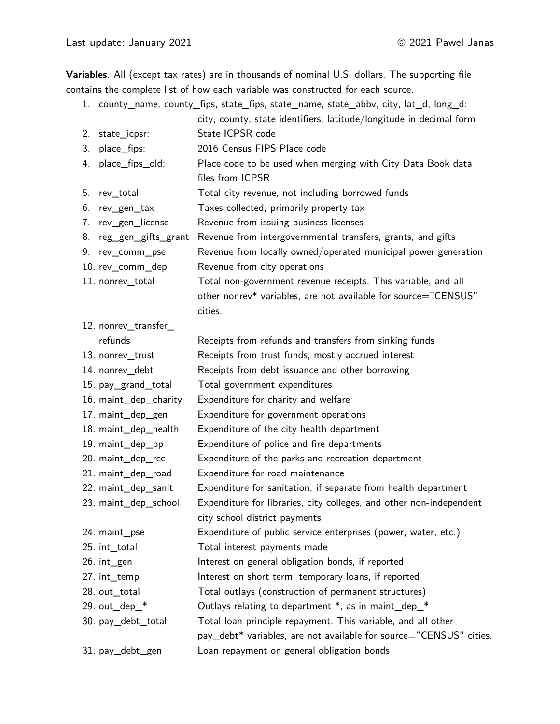Variables. All (except tax rates) are in thousands of nominal U.S. dollars. The supporting file contains the complete list of how each variable was constructed for each source.

- 1. county\_name, county\_fips, state\_fips, state\_name, state\_abbv, city, lat\_d, long\_d:
- city, county, state identifiers, latitude/longitude in decimal form 2. state\_icpsr: State ICPSR code 3. place\_fips: 2016 Census FIPS Place code 4. place fips old: Place code to be used when merging with City Data Book data files from ICPSR 5. rev\_total Total city revenue, not including borrowed funds 6. rev\_gen\_tax Taxes collected, primarily property tax 7. rev\_gen\_license Revenue from issuing business licenses 8. reg\_gen\_gifts\_grant Revenue from intergovernmental transfers, grants, and gifts 9. rev\_comm\_pse Revenue from locally owned/operated municipal power generation 10. rev\_comm\_dep Revenue from city operations 11. nonrev\_total Total non-government revenue receipts. This variable, and all other nonrev\* variables, are not available for source="CENSUS" cities. 12. nonrev\_transfer\_ refunds **Receipts from refunds and transfers from sinking funds** 13. nonrev\_trust **Receipts from trust funds, mostly accrued interest** 14. nonrev debt Receipts from debt issuance and other borrowing 15. pay\_grand\_total Total government expenditures 16. maint\_dep\_charity Expenditure for charity and welfare 17. maint dep gen Expenditure for government operations 18. maint\_dep\_health Expenditure of the city health department 19. maint dep pp Expenditure of police and fire departments 20. maint dep rec Expenditure of the parks and recreation department 21. maint dep road Expenditure for road maintenance 22. maint dep sanit Expenditure for sanitation, if separate from health department 23. maint\_dep\_school Expenditure for libraries, city colleges, and other non-independent city school district payments 24. maint\_pse Expenditure of public service enterprises (power, water, etc.) 25. int\_total Total interest payments made 26. int\_gen **Interest on general obligation bonds**, if reported 27. int temp Interest on short term, temporary loans, if reported 28. out\_total Total outlays (construction of permanent structures) 29. out\_dep\_\* Cutlays relating to department \*, as in maint\_dep\_\* 30. pay\_debt\_total Total loan principle repayment. This variable, and all other pay debt<sup>\*</sup> variables, are not available for source="CENSUS" cities. 31. pay\_debt\_gen Loan repayment on general obligation bonds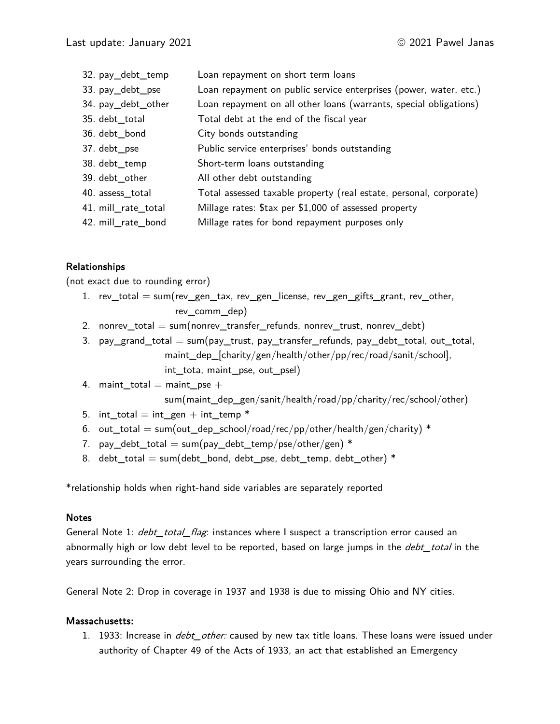32. pay\_debt\_temp Loan repayment on short term loans 33. pay\_debt\_pse Loan repayment on public service enterprises (power, water, etc.) 34. pay\_debt\_other Loan repayment on all other loans (warrants, special obligations) 35. debt total Total debt at the end of the fiscal year 36. debt bond City bonds outstanding 37. debt pse Public service enterprises' bonds outstanding 38. debt temp Short-term loans outstanding 39. debt other All other debt outstanding 40. assess\_total Total assessed taxable property (real estate, personal, corporate) 41. mill\_rate\_total Millage rates: \$tax per \$1,000 of assessed property 42. mill rate bond Millage rates for bond repayment purposes only

# Relationships

(not exact due to rounding error)

- 1. rev\_total = sum(rev\_gen\_tax, rev\_gen\_license, rev\_gen\_gifts\_grant, rev\_other, rev\_comm\_dep)
- 2. nonrev\_total  $=$  sum(nonrev\_transfer\_refunds, nonrev\_trust, nonrev\_debt)
- 3. pay\_grand\_total  $=$  sum(pay\_trust, pay\_transfer\_refunds, pay\_debt\_total, out\_total, maint\_dep\_[charity/gen/health/other/pp/rec/road/sanit/school], int\_tota, maint\_pse, out\_psel)
- 4. maint\_total  $=$  maint\_pse  $+$ sum(maint\_dep\_gen/sanit/health/road/pp/charity/rec/school/other)
- 5. int total = int gen + int temp  $*$
- 6. out\_total = sum(out\_dep\_school/road/rec/pp/other/health/gen/charity) \*
- 7. pay debt total = sum(pay debt temp/pse/other/gen) \*
- 8. debt total = sum(debt bond, debt pse, debt temp, debt other)  $*$

\*relationship holds when right-hand side variables are separately reported

#### Notes

General Note 1: *debt\_total\_flag*: instances where I suspect a transcription error caused an abnormally high or low debt level to be reported, based on large jumps in the *debt\_total* in the years surrounding the error.

General Note 2: Drop in coverage in 1937 and 1938 is due to missing Ohio and NY cities.

#### Massachusetts:

1. 1933: Increase in *debt other:* caused by new tax title loans. These loans were issued under authority of Chapter 49 of the Acts of 1933, an act that established an Emergency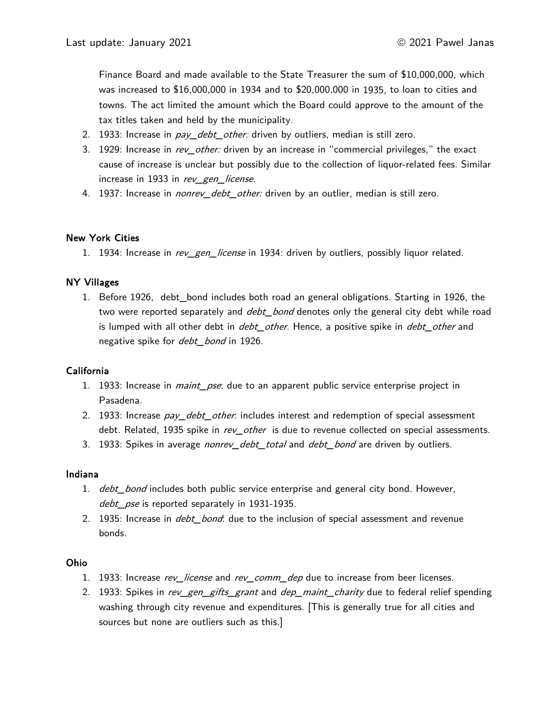Finance Board and made available to the State Treasurer the sum of \$10,000,000, which was increased to \$16,000,000 in 1934 and to \$20,000,000 in 1935, to loan to cities and towns. The act limited the amount which the Board could approve to the amount of the tax titles taken and held by the municipality.

- 2. 1933: Increase in *pay\_debt\_other:* driven by outliers, median is still zero.
- 3. 1929: Increase in rev\_other: driven by an increase in "commercial privileges," the exact cause of increase is unclear but possibly due to the collection of liquor-related fees. Similar increase in 1933 in rev\_gen\_license.
- 4. 1937: Increase in *nonrev\_debt\_other:* driven by an outlier, median is still zero.

### New York Cities

1. 1934: Increase in rev\_gen\_license in 1934: driven by outliers, possibly liquor related.

# NY Villages

1. Before 1926, debt\_bond includes both road an general obligations. Starting in 1926, the two were reported separately and *debt\_bond* denotes only the general city debt while road is lumped with all other debt in *debt\_other*. Hence, a positive spike in *debt\_other* and negative spike for *debt\_bond* in 1926.

### California

- 1. 1933: Increase in *maint\_pse*: due to an apparent public service enterprise project in Pasadena.
- 2. 1933: Increase pay debt other: includes interest and redemption of special assessment debt. Related, 1935 spike in rev other is due to revenue collected on special assessments.
- 3. 1933: Spikes in average *nonrey\_debt\_total* and *debt\_bond* are driven by outliers.

### Indiana

- 1. debt bond includes both public service enterprise and general city bond. However, debt pse is reported separately in 1931-1935.
- 2. 1935: Increase in *debt bond*: due to the inclusion of special assessment and revenue bonds.

### Ohio

- 1. 1933: Increase rev\_license and rev\_comm\_dep due to increase from beer licenses.
- 2. 1933: Spikes in *rev\_gen\_gifts\_grant* and *dep\_maint\_charity* due to federal relief spending washing through city revenue and expenditures. [This is generally true for all cities and sources but none are outliers such as this.]